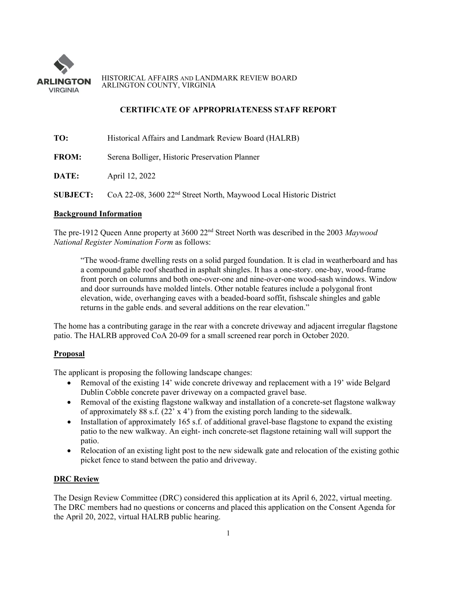

HISTORICAL AFFAIRS AND LANDMARK REVIEW BOARD ARLINGTON COUNTY, VIRGINIA

# **CERTIFICATE OF APPROPRIATENESS STAFF REPORT**

| TO:             | Historical Affairs and Landmark Review Board (HALRB)                           |
|-----------------|--------------------------------------------------------------------------------|
| <b>FROM:</b>    | Serena Bolliger, Historic Preservation Planner                                 |
| DATE:           | April 12, 2022                                                                 |
| <b>SUBJECT:</b> | CoA 22-08, 3600 22 <sup>nd</sup> Street North, Maywood Local Historic District |

### **Background Information**

The pre-1912 Queen Anne property at 3600 22nd Street North was described in the 2003 *Maywood National Register Nomination Form* as follows:

"The wood-frame dwelling rests on a solid parged foundation. It is clad in weatherboard and has a compound gable roof sheathed in asphalt shingles. It has a one-story. one-bay, wood-frame front porch on columns and both one-over-one and nine-over-one wood-sash windows. Window and door surrounds have molded lintels. Other notable features include a polygonal front elevation, wide, overhanging eaves with a beaded-board soffit, fishscale shingles and gable returns in the gable ends. and several additions on the rear elevation."

The home has a contributing garage in the rear with a concrete driveway and adjacent irregular flagstone patio. The HALRB approved CoA 20-09 for a small screened rear porch in October 2020.

#### **Proposal**

The applicant is proposing the following landscape changes:

- Removal of the existing 14' wide concrete driveway and replacement with a 19' wide Belgard Dublin Cobble concrete paver driveway on a compacted gravel base.
- Removal of the existing flagstone walkway and installation of a concrete-set flagstone walkway of approximately 88 s.f. (22' x 4') from the existing porch landing to the sidewalk.
- Installation of approximately 165 s.f. of additional gravel-base flagstone to expand the existing patio to the new walkway. An eight- inch concrete-set flagstone retaining wall will support the patio.
- Relocation of an existing light post to the new sidewalk gate and relocation of the existing gothic picket fence to stand between the patio and driveway.

#### **DRC Review**

The Design Review Committee (DRC) considered this application at its April 6, 2022, virtual meeting. The DRC members had no questions or concerns and placed this application on the Consent Agenda for the April 20, 2022, virtual HALRB public hearing.